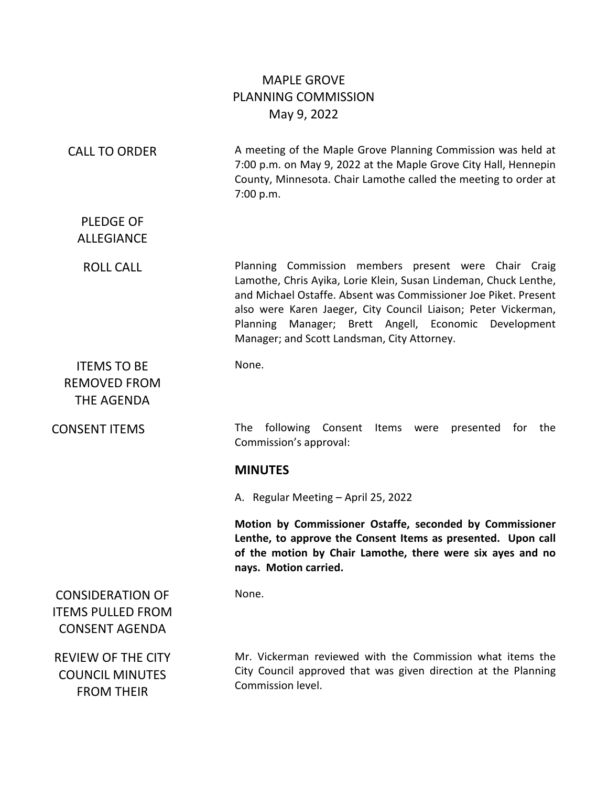# MAPLE GROVE PLANNING COMMISSION May 9, 2022

| <b>CALL TO ORDER</b>                                                         | A meeting of the Maple Grove Planning Commission was held at<br>7:00 p.m. on May 9, 2022 at the Maple Grove City Hall, Hennepin<br>County, Minnesota. Chair Lamothe called the meeting to order at<br>7:00 p.m.                                                                                                                                                      |
|------------------------------------------------------------------------------|----------------------------------------------------------------------------------------------------------------------------------------------------------------------------------------------------------------------------------------------------------------------------------------------------------------------------------------------------------------------|
| <b>PLEDGE OF</b><br><b>ALLEGIANCE</b>                                        |                                                                                                                                                                                                                                                                                                                                                                      |
| <b>ROLL CALL</b>                                                             | Planning Commission members present were Chair Craig<br>Lamothe, Chris Ayika, Lorie Klein, Susan Lindeman, Chuck Lenthe,<br>and Michael Ostaffe. Absent was Commissioner Joe Piket. Present<br>also were Karen Jaeger, City Council Liaison; Peter Vickerman,<br>Planning Manager; Brett Angell, Economic Development<br>Manager; and Scott Landsman, City Attorney. |
| <b>ITEMS TO BE</b><br><b>REMOVED FROM</b><br>THE AGENDA                      | None.                                                                                                                                                                                                                                                                                                                                                                |
| <b>CONSENT ITEMS</b>                                                         | following<br><b>The</b><br>Consent<br>Items<br>presented<br>for<br>the<br>were<br>Commission's approval:                                                                                                                                                                                                                                                             |
|                                                                              | <b>MINUTES</b>                                                                                                                                                                                                                                                                                                                                                       |
|                                                                              | A. Regular Meeting - April 25, 2022                                                                                                                                                                                                                                                                                                                                  |
|                                                                              | Motion by Commissioner Ostaffe, seconded by Commissioner<br>Lenthe, to approve the Consent Items as presented. Upon call<br>of the motion by Chair Lamothe, there were six ayes and no<br>nays. Motion carried.                                                                                                                                                      |
| <b>CONSIDERATION OF</b><br><b>ITEMS PULLED FROM</b><br><b>CONSENT AGENDA</b> | None.                                                                                                                                                                                                                                                                                                                                                                |
| <b>REVIEW OF THE CITY</b><br><b>COUNCIL MINUTES</b><br><b>FROM THEIR</b>     | Mr. Vickerman reviewed with the Commission what items the<br>City Council approved that was given direction at the Planning<br>Commission level.                                                                                                                                                                                                                     |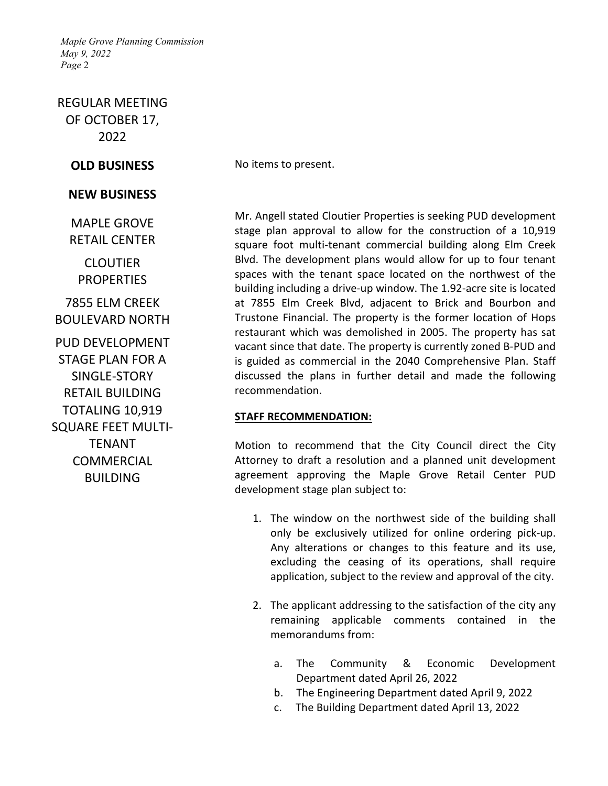REGULAR MEETING OF OCTOBER 17, 2022

### **NEW BUSINESS**

MAPLE GROVE RETAIL CENTER

**CLOUTIER PROPERTIES** 

7855 ELM CREEK BOULEVARD NORTH

PUD DEVELOPMENT STAGE PLAN FOR A SINGLE-STORY RETAIL BUILDING TOTALING 10,919 SQUARE FEET MULTI-**TFNANT** COMMERCIAL BUILDING

**OLD BUSINESS** No items to present.

Mr. Angell stated Cloutier Properties is seeking PUD development stage plan approval to allow for the construction of a 10,919 square foot multi-tenant commercial building along Elm Creek Blvd. The development plans would allow for up to four tenant spaces with the tenant space located on the northwest of the building including a drive-up window. The 1.92-acre site is located at 7855 Elm Creek Blvd, adjacent to Brick and Bourbon and Trustone Financial. The property is the former location of Hops restaurant which was demolished in 2005. The property has sat vacant since that date. The property is currently zoned B-PUD and is guided as commercial in the 2040 Comprehensive Plan. Staff discussed the plans in further detail and made the following recommendation.

### **STAFF RECOMMENDATION:**

Motion to recommend that the City Council direct the City Attorney to draft a resolution and a planned unit development agreement approving the Maple Grove Retail Center PUD development stage plan subject to:

- 1. The window on the northwest side of the building shall only be exclusively utilized for online ordering pick-up. Any alterations or changes to this feature and its use, excluding the ceasing of its operations, shall require application, subject to the review and approval of the city.
- 2. The applicant addressing to the satisfaction of the city any remaining applicable comments contained in the memorandums from:
	- a. The Community & Economic Development Department dated April 26, 2022
	- b. The Engineering Department dated April 9, 2022
	- c. The Building Department dated April 13, 2022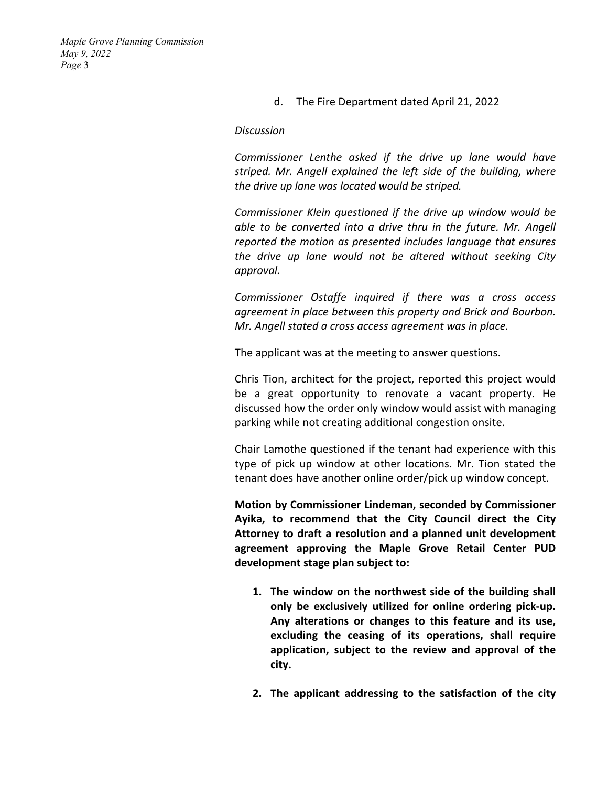## d. The Fire Department dated April 21, 2022

#### *Discussion*

*Commissioner Lenthe asked if the drive up lane would have striped. Mr. Angell explained the left side of the building, where the drive up lane was located would be striped.* 

*Commissioner Klein questioned if the drive up window would be able to be converted into a drive thru in the future. Mr. Angell reported the motion as presented includes language that ensures the drive up lane would not be altered without seeking City approval.* 

*Commissioner Ostaffe inquired if there was a cross access agreement in place between this property and Brick and Bourbon. Mr. Angell stated a cross access agreement was in place.* 

The applicant was at the meeting to answer questions.

Chris Tion, architect for the project, reported this project would be a great opportunity to renovate a vacant property. He discussed how the order only window would assist with managing parking while not creating additional congestion onsite.

Chair Lamothe questioned if the tenant had experience with this type of pick up window at other locations. Mr. Tion stated the tenant does have another online order/pick up window concept.

**Motion by Commissioner Lindeman, seconded by Commissioner Ayika, to recommend that the City Council direct the City Attorney to draft a resolution and a planned unit development agreement approving the Maple Grove Retail Center PUD development stage plan subject to:**

- **1. The window on the northwest side of the building shall only be exclusively utilized for online ordering pick-up. Any alterations or changes to this feature and its use, excluding the ceasing of its operations, shall require application, subject to the review and approval of the city.**
- **2. The applicant addressing to the satisfaction of the city**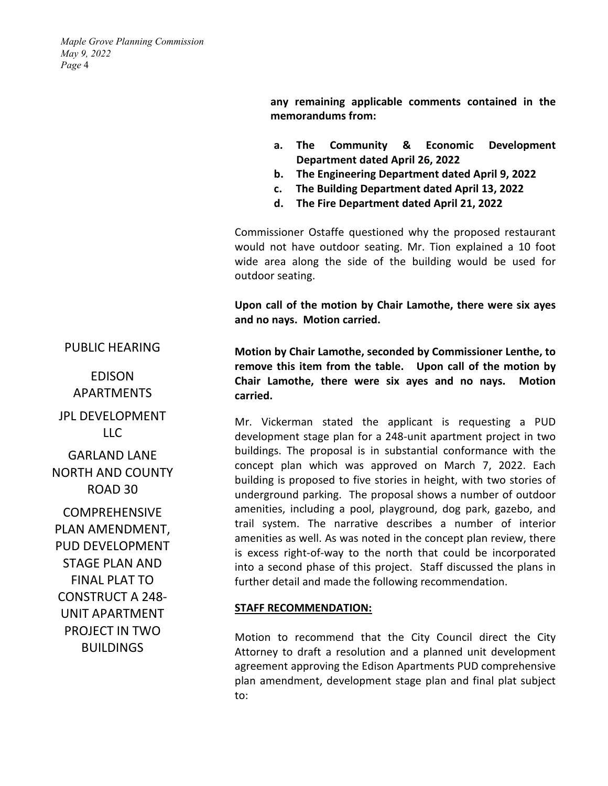> **any remaining applicable comments contained in the memorandums from:**

- **a. The Community & Economic Development Department dated April 26, 2022**
- **b. The Engineering Department dated April 9, 2022**
- **c. The Building Department dated April 13, 2022**
- **d. The Fire Department dated April 21, 2022**

Commissioner Ostaffe questioned why the proposed restaurant would not have outdoor seating. Mr. Tion explained a 10 foot wide area along the side of the building would be used for outdoor seating.

**Upon call of the motion by Chair Lamothe, there were six ayes and no nays. Motion carried.**

**Motion by Chair Lamothe, seconded by Commissioner Lenthe, to remove this item from the table. Upon call of the motion by Chair Lamothe, there were six ayes and no nays. Motion carried.**

Mr. Vickerman stated the applicant is requesting a PUD development stage plan for a 248-unit apartment project in two buildings. The proposal is in substantial conformance with the concept plan which was approved on March 7, 2022. Each building is proposed to five stories in height, with two stories of underground parking. The proposal shows a number of outdoor amenities, including a pool, playground, dog park, gazebo, and trail system. The narrative describes a number of interior amenities as well. As was noted in the concept plan review, there is excess right-of-way to the north that could be incorporated into a second phase of this project. Staff discussed the plans in further detail and made the following recommendation.

### **STAFF RECOMMENDATION:**

Motion to recommend that the City Council direct the City Attorney to draft a resolution and a planned unit development agreement approving the Edison Apartments PUD comprehensive plan amendment, development stage plan and final plat subject to:

PUBLIC HEARING

EDISON APARTMENTS JPL DEVELOPMENT  $ILC$ GARLAND LANE NORTH AND COUNTY ROAD 30 COMPREHENSIVE PLAN AMENDMENT, PUD DEVELOPMENT STAGE PLAN AND FINAL PLAT TO CONSTRUCT A 248- UNIT APARTMENT PROJECT IN TWO

BUILDINGS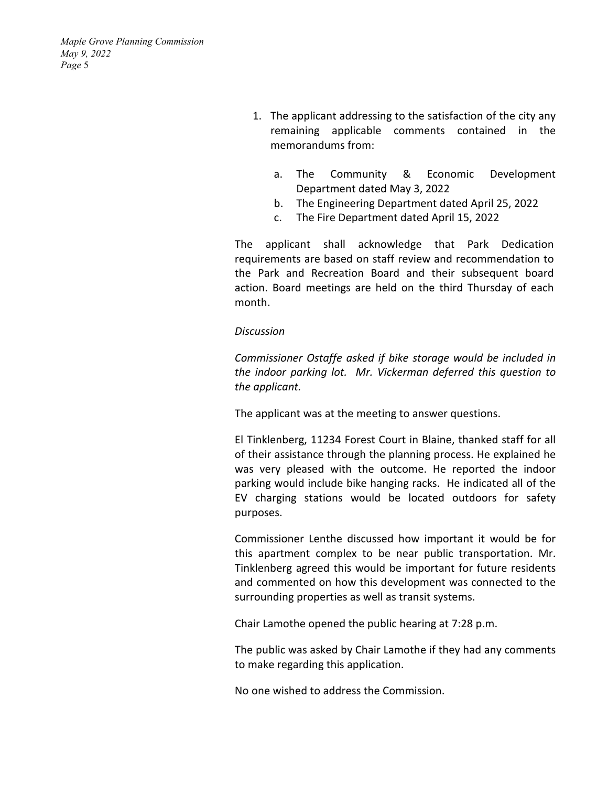- 1. The applicant addressing to the satisfaction of the city any remaining applicable comments contained in the memorandums from:
	- a. The Community & Economic Development Department dated May 3, 2022
	- b. The Engineering Department dated April 25, 2022
	- c. The Fire Department dated April 15, 2022

The applicant shall acknowledge that Park Dedication requirements are based on staff review and recommendation to the Park and Recreation Board and their subsequent board action. Board meetings are held on the third Thursday of each month.

## *Discussion*

*Commissioner Ostaffe asked if bike storage would be included in the indoor parking lot. Mr. Vickerman deferred this question to the applicant.* 

The applicant was at the meeting to answer questions.

El Tinklenberg, 11234 Forest Court in Blaine, thanked staff for all of their assistance through the planning process. He explained he was very pleased with the outcome. He reported the indoor parking would include bike hanging racks. He indicated all of the EV charging stations would be located outdoors for safety purposes.

Commissioner Lenthe discussed how important it would be for this apartment complex to be near public transportation. Mr. Tinklenberg agreed this would be important for future residents and commented on how this development was connected to the surrounding properties as well as transit systems.

Chair Lamothe opened the public hearing at 7:28 p.m.

The public was asked by Chair Lamothe if they had any comments to make regarding this application.

No one wished to address the Commission.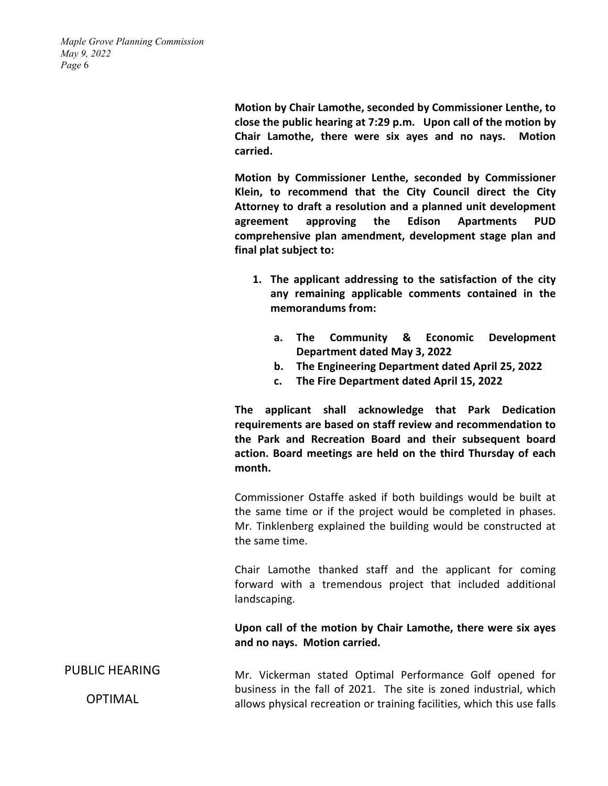> **Motion by Chair Lamothe, seconded by Commissioner Lenthe, to close the public hearing at 7:29 p.m. Upon call of the motion by Chair Lamothe, there were six ayes and no nays. Motion carried.**

> **Motion by Commissioner Lenthe, seconded by Commissioner Klein, to recommend that the City Council direct the City Attorney to draft a resolution and a planned unit development agreement approving the Edison Apartments PUD comprehensive plan amendment, development stage plan and final plat subject to:**

- **1. The applicant addressing to the satisfaction of the city any remaining applicable comments contained in the memorandums from:**
	- **a. The Community & Economic Development Department dated May 3, 2022**
	- **b. The Engineering Department dated April 25, 2022**
	- **c. The Fire Department dated April 15, 2022**

**The applicant shall acknowledge that Park Dedication requirements are based on staff review and recommendation to the Park and Recreation Board and their subsequent board action. Board meetings are held on the third Thursday of each month.**

Commissioner Ostaffe asked if both buildings would be built at the same time or if the project would be completed in phases. Mr. Tinklenberg explained the building would be constructed at the same time.

Chair Lamothe thanked staff and the applicant for coming forward with a tremendous project that included additional landscaping.

**Upon call of the motion by Chair Lamothe, there were six ayes and no nays. Motion carried.**

PUBLIC HEARING OPTIMAL Mr. Vickerman stated Optimal Performance Golf opened for business in the fall of 2021. The site is zoned industrial, which allows physical recreation or training facilities, which this use falls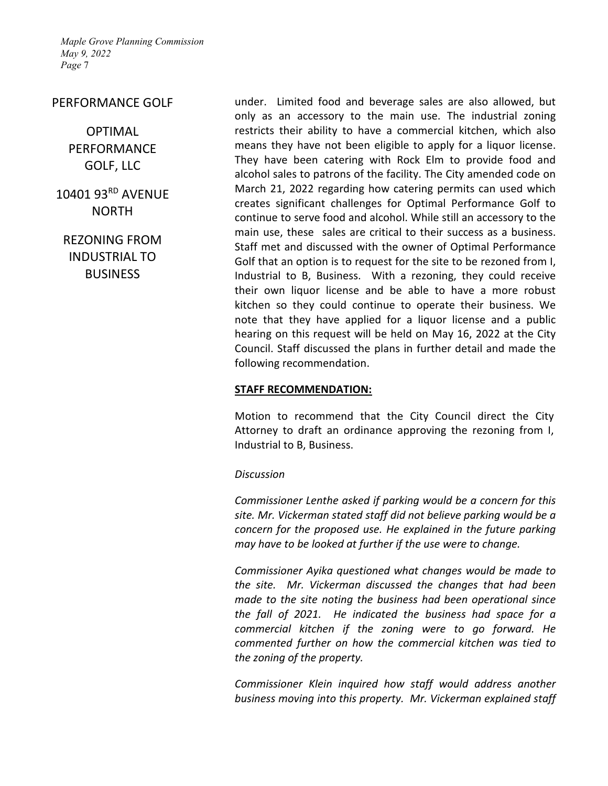### PERFORMANCE GOLF

# OPTIMAL PERFORMANCE GOLF, LLC

10401 93RD AVENUE NORTH

REZONING FROM INDUSTRIAL TO **BUSINESS** 

under. Limited food and beverage sales are also allowed, but only as an accessory to the main use. The industrial zoning restricts their ability to have a commercial kitchen, which also means they have not been eligible to apply for a liquor license. They have been catering with Rock Elm to provide food and alcohol sales to patrons of the facility. The City amended code on March 21, 2022 regarding how catering permits can used which creates significant challenges for Optimal Performance Golf to continue to serve food and alcohol. While still an accessory to the main use, these sales are critical to their success as a business. Staff met and discussed with the owner of Optimal Performance Golf that an option is to request for the site to be rezoned from I, Industrial to B, Business. With a rezoning, they could receive their own liquor license and be able to have a more robust kitchen so they could continue to operate their business. We note that they have applied for a liquor license and a public hearing on this request will be held on May 16, 2022 at the City Council. Staff discussed the plans in further detail and made the following recommendation.

#### **STAFF RECOMMENDATION:**

Motion to recommend that the City Council direct the City Attorney to draft an ordinance approving the rezoning from I, Industrial to B, Business.

#### *Discussion*

*Commissioner Lenthe asked if parking would be a concern for this site. Mr. Vickerman stated staff did not believe parking would be a concern for the proposed use. He explained in the future parking may have to be looked at further if the use were to change.* 

*Commissioner Ayika questioned what changes would be made to the site. Mr. Vickerman discussed the changes that had been made to the site noting the business had been operational since the fall of 2021. He indicated the business had space for a commercial kitchen if the zoning were to go forward. He commented further on how the commercial kitchen was tied to the zoning of the property.* 

*Commissioner Klein inquired how staff would address another business moving into this property. Mr. Vickerman explained staff*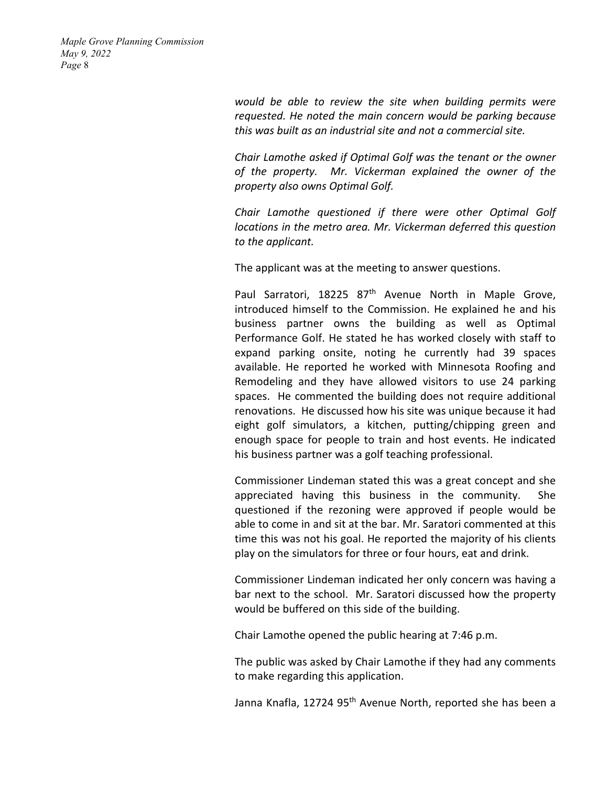> *would be able to review the site when building permits were requested. He noted the main concern would be parking because this was built as an industrial site and not a commercial site.*

> *Chair Lamothe asked if Optimal Golf was the tenant or the owner of the property. Mr. Vickerman explained the owner of the property also owns Optimal Golf.*

> *Chair Lamothe questioned if there were other Optimal Golf locations in the metro area. Mr. Vickerman deferred this question to the applicant.*

The applicant was at the meeting to answer questions.

Paul Sarratori, 18225 87<sup>th</sup> Avenue North in Maple Grove, introduced himself to the Commission. He explained he and his business partner owns the building as well as Optimal Performance Golf. He stated he has worked closely with staff to expand parking onsite, noting he currently had 39 spaces available. He reported he worked with Minnesota Roofing and Remodeling and they have allowed visitors to use 24 parking spaces. He commented the building does not require additional renovations. He discussed how his site was unique because it had eight golf simulators, a kitchen, putting/chipping green and enough space for people to train and host events. He indicated his business partner was a golf teaching professional.

Commissioner Lindeman stated this was a great concept and she appreciated having this business in the community. She questioned if the rezoning were approved if people would be able to come in and sit at the bar. Mr. Saratori commented at this time this was not his goal. He reported the majority of his clients play on the simulators for three or four hours, eat and drink.

Commissioner Lindeman indicated her only concern was having a bar next to the school. Mr. Saratori discussed how the property would be buffered on this side of the building.

Chair Lamothe opened the public hearing at 7:46 p.m.

The public was asked by Chair Lamothe if they had any comments to make regarding this application.

Janna Knafla, 12724 95<sup>th</sup> Avenue North, reported she has been a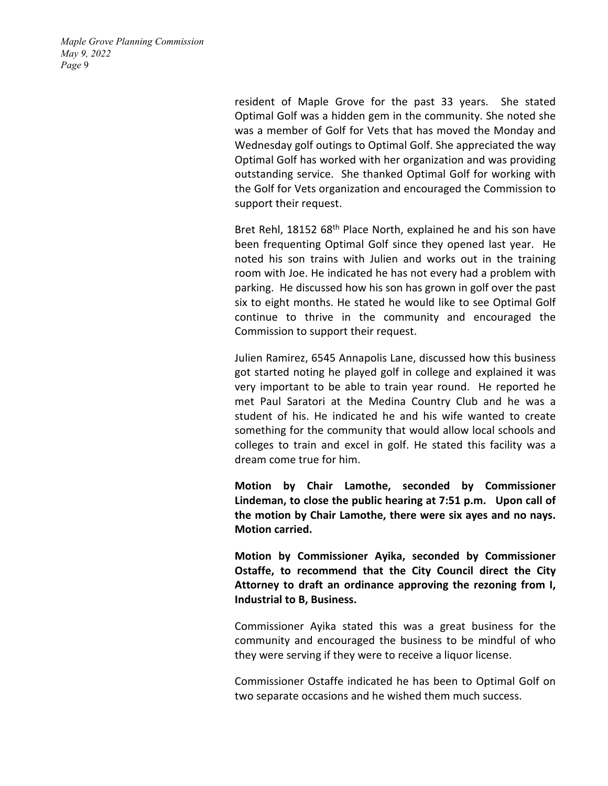> resident of Maple Grove for the past 33 years. She stated Optimal Golf was a hidden gem in the community. She noted she was a member of Golf for Vets that has moved the Monday and Wednesday golf outings to Optimal Golf. She appreciated the way Optimal Golf has worked with her organization and was providing outstanding service. She thanked Optimal Golf for working with the Golf for Vets organization and encouraged the Commission to support their request.

> Bret Rehl, 18152 68<sup>th</sup> Place North, explained he and his son have been frequenting Optimal Golf since they opened last year. He noted his son trains with Julien and works out in the training room with Joe. He indicated he has not every had a problem with parking. He discussed how his son has grown in golf over the past six to eight months. He stated he would like to see Optimal Golf continue to thrive in the community and encouraged the Commission to support their request.

> Julien Ramirez, 6545 Annapolis Lane, discussed how this business got started noting he played golf in college and explained it was very important to be able to train year round. He reported he met Paul Saratori at the Medina Country Club and he was a student of his. He indicated he and his wife wanted to create something for the community that would allow local schools and colleges to train and excel in golf. He stated this facility was a dream come true for him.

> **Motion by Chair Lamothe, seconded by Commissioner Lindeman, to close the public hearing at 7:51 p.m. Upon call of the motion by Chair Lamothe, there were six ayes and no nays. Motion carried.**

> **Motion by Commissioner Ayika, seconded by Commissioner Ostaffe, to recommend that the City Council direct the City Attorney to draft an ordinance approving the rezoning from I, Industrial to B, Business.**

> Commissioner Ayika stated this was a great business for the community and encouraged the business to be mindful of who they were serving if they were to receive a liquor license.

> Commissioner Ostaffe indicated he has been to Optimal Golf on two separate occasions and he wished them much success.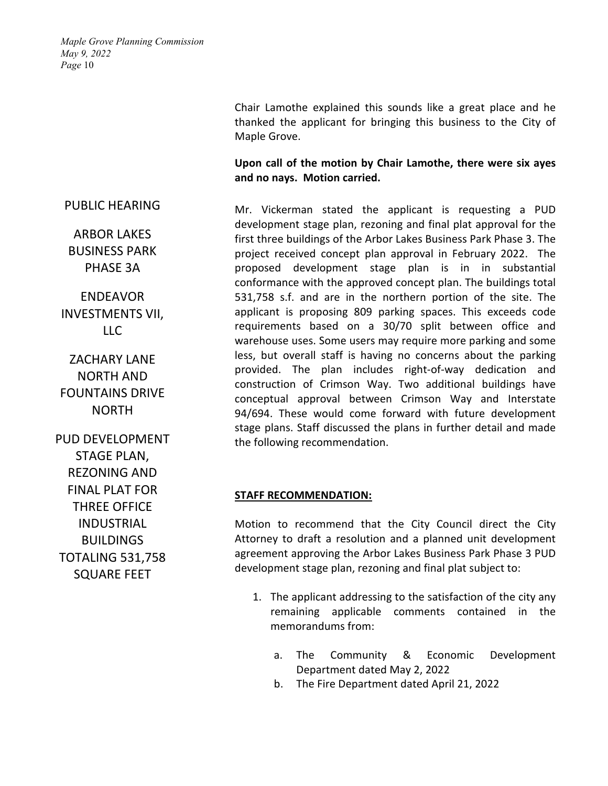# Chair Lamothe explained this sounds like a great place and he thanked the applicant for bringing this business to the City of Maple Grove.

# **Upon call of the motion by Chair Lamothe, there were six ayes and no nays. Motion carried.**

Mr. Vickerman stated the applicant is requesting a PUD development stage plan, rezoning and final plat approval for the first three buildings of the Arbor Lakes Business Park Phase 3. The project received concept plan approval in February 2022. The proposed development stage plan is in in substantial conformance with the approved concept plan. The buildings total 531,758 s.f. and are in the northern portion of the site. The applicant is proposing 809 parking spaces. This exceeds code requirements based on a 30/70 split between office and warehouse uses. Some users may require more parking and some less, but overall staff is having no concerns about the parking provided. The plan includes right-of-way dedication and construction of Crimson Way. Two additional buildings have conceptual approval between Crimson Way and Interstate 94/694. These would come forward with future development stage plans. Staff discussed the plans in further detail and made the following recommendation.

## **STAFF RECOMMENDATION:**

Motion to recommend that the City Council direct the City Attorney to draft a resolution and a planned unit development agreement approving the Arbor Lakes Business Park Phase 3 PUD development stage plan, rezoning and final plat subject to:

- 1. The applicant addressing to the satisfaction of the city any remaining applicable comments contained in the memorandums from:
	- a. The Community & Economic Development Department dated May 2, 2022
	- b. The Fire Department dated April 21, 2022

PUBLIC HEARING

ARBOR LAKES BUSINESS PARK PHASE 3A

ENDEAVOR INVESTMENTS VII, LLC

ZACHARY LANE NORTH AND FOUNTAINS DRIVE NORTH

PUD DEVELOPMENT STAGE PLAN, REZONING AND FINAL PLAT FOR THREE OFFICE INDUSTRIAL **BUILDINGS** TOTALING 531,758 SQUARE FEET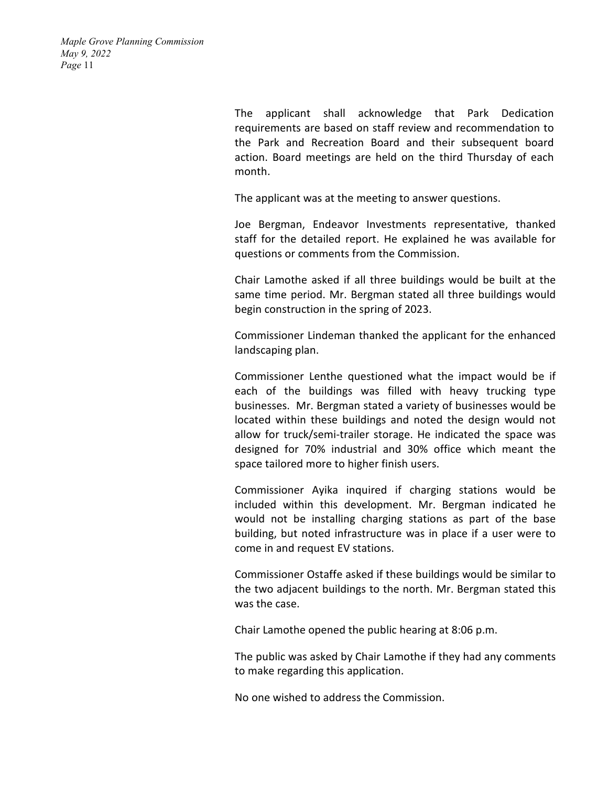> The applicant shall acknowledge that Park Dedication requirements are based on staff review and recommendation to the Park and Recreation Board and their subsequent board action. Board meetings are held on the third Thursday of each month.

The applicant was at the meeting to answer questions.

Joe Bergman, Endeavor Investments representative, thanked staff for the detailed report. He explained he was available for questions or comments from the Commission.

Chair Lamothe asked if all three buildings would be built at the same time period. Mr. Bergman stated all three buildings would begin construction in the spring of 2023.

Commissioner Lindeman thanked the applicant for the enhanced landscaping plan.

Commissioner Lenthe questioned what the impact would be if each of the buildings was filled with heavy trucking type businesses. Mr. Bergman stated a variety of businesses would be located within these buildings and noted the design would not allow for truck/semi-trailer storage. He indicated the space was designed for 70% industrial and 30% office which meant the space tailored more to higher finish users.

Commissioner Ayika inquired if charging stations would be included within this development. Mr. Bergman indicated he would not be installing charging stations as part of the base building, but noted infrastructure was in place if a user were to come in and request EV stations.

Commissioner Ostaffe asked if these buildings would be similar to the two adjacent buildings to the north. Mr. Bergman stated this was the case.

Chair Lamothe opened the public hearing at 8:06 p.m.

The public was asked by Chair Lamothe if they had any comments to make regarding this application.

No one wished to address the Commission.